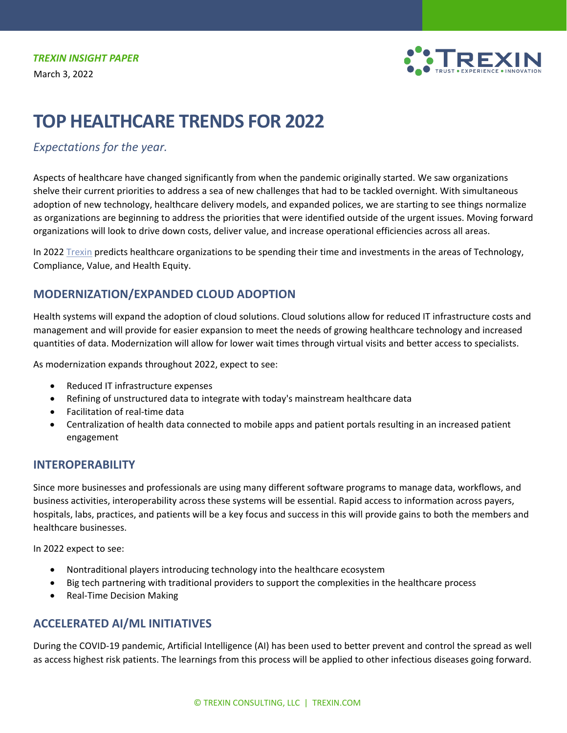

# **TOP HEALTHCARE TRENDS FOR 2022**

# *Expectations for the year.*

Aspects of healthcare have changed significantly from when the pandemic originally started. We saw organizations shelve their current priorities to address a sea of new challenges that had to be tackled overnight. With simultaneous adoption of new technology, healthcare delivery models, and expanded polices, we are starting to see things normalize as organizations are beginning to address the priorities that were identified outside of the urgent issues. Moving forward organizations will look to drive down costs, deliver value, and increase operational efficiencies across all areas.

In 2022 [Trexin](https://www.trexin.com/) predicts healthcare organizations to be spending their time and investments in the areas of Technology, Compliance, Value, and Health Equity.

# **MODERNIZATION/EXPANDED CLOUD ADOPTION**

Health systems will expand the adoption of cloud solutions. Cloud solutions allow for reduced IT infrastructure costs and management and will provide for easier expansion to meet the needs of growing healthcare technology and increased quantities of data. Modernization will allow for lower wait times through virtual visits and better access to specialists.

As modernization expands throughout 2022, expect to see:

- Reduced IT infrastructure expenses
- Refining of unstructured data to integrate with today's mainstream healthcare data
- Facilitation of real-time data
- Centralization of health data connected to mobile apps and patient portals resulting in an increased patient engagement

## **INTEROPERABILITY**

Since more businesses and professionals are using many different software programs to manage data, workflows, and business activities, interoperability across these systems will be essential. Rapid access to information across payers, hospitals, labs, practices, and patients will be a key focus and success in this will provide gains to both the members and healthcare businesses.

In 2022 expect to see:

- Nontraditional players introducing technology into the healthcare ecosystem
- Big tech partnering with traditional providers to support the complexities in the healthcare process
- Real-Time Decision Making

# **ACCELERATED AI/ML INITIATIVES**

During the COVID-19 pandemic, Artificial Intelligence (AI) has been used to better prevent and control the spread as well as access highest risk patients. The learnings from this process will be applied to other infectious diseases going forward.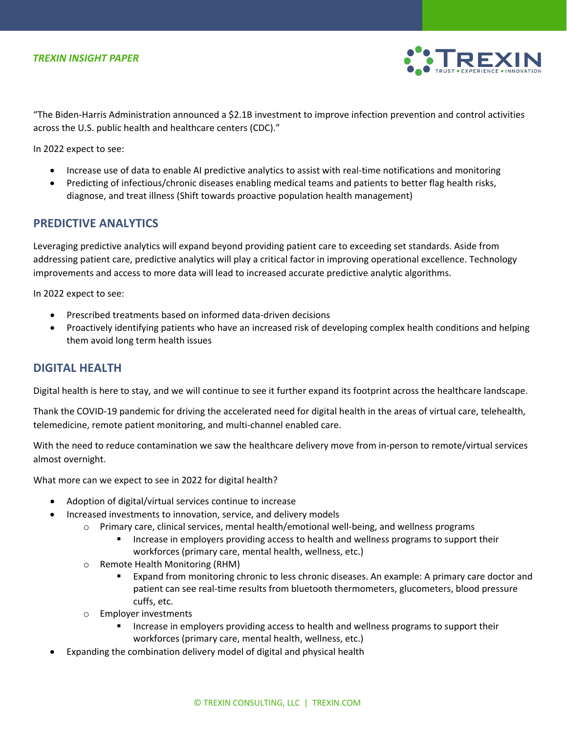

"The Biden-Harris Administration announced a \$2.1B investment to improve infection prevention and control activities across the U.S. public health and healthcare centers (CDC)."

In 2022 expect to see:

- Increase use of data to enable AI predictive analytics to assist with real-time notifications and monitoring
- Predicting of infectious/chronic diseases enabling medical teams and patients to better flag health risks, diagnose, and treat illness (Shift towards proactive population health management)

#### **PREDICTIVE ANALYTICS**

Leveraging predictive analytics will expand beyond providing patient care to exceeding set standards. Aside from addressing patient care, predictive analytics will play a critical factor in improving operational excellence. Technology improvements and access to more data will lead to increased accurate predictive analytic algorithms.

In 2022 expect to see:

- Prescribed treatments based on informed data-driven decisions
- Proactively identifying patients who have an increased risk of developing complex health conditions and helping them avoid long term health issues

#### **DIGITAL HEALTH**

Digital health is here to stay, and we will continue to see it further expand its footprint across the healthcare landscape.

Thank the COVID-19 pandemic for driving the accelerated need for digital health in the areas of virtual care, telehealth, telemedicine, remote patient monitoring, and multi-channel enabled care.

With the need to reduce contamination we saw the healthcare delivery move from in-person to remote/virtual services almost overnight.

What more can we expect to see in 2022 for digital health?

- Adoption of digital/virtual services continue to increase
	- Increased investments to innovation, service, and delivery models
		- o Primary care, clinical services, mental health/emotional well-being, and wellness programs
			- **Increase in employers providing access to health and wellness programs to support their** workforces (primary care, mental health, wellness, etc.)
		- o Remote Health Monitoring (RHM)
			- Expand from monitoring chronic to less chronic diseases. An example: A primary care doctor and patient can see real-time results from bluetooth thermometers, glucometers, blood pressure cuffs, etc.
		- o Employer investments
			- Increase in employers providing access to health and wellness programs to support their workforces (primary care, mental health, wellness, etc.)
- Expanding the combination delivery model of digital and physical health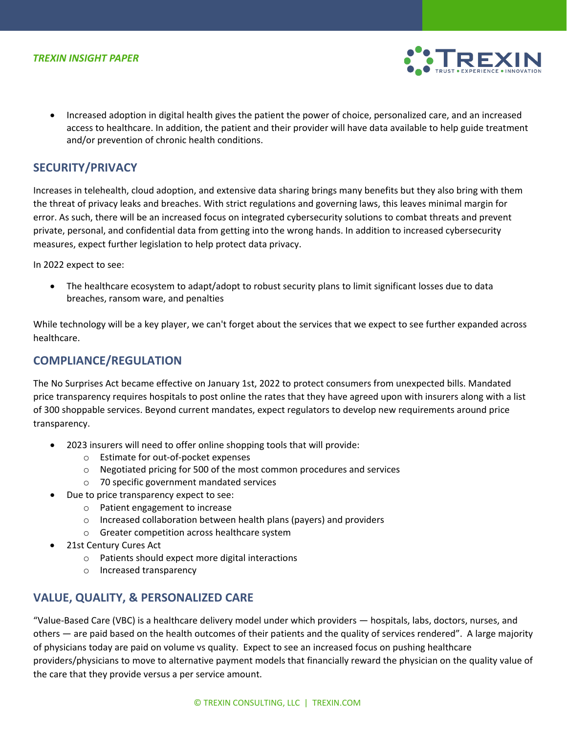

• Increased adoption in digital health gives the patient the power of choice, personalized care, and an increased access to healthcare. In addition, the patient and their provider will have data available to help guide treatment and/or prevention of chronic health conditions.

#### **SECURITY/PRIVACY**

Increases in telehealth, cloud adoption, and extensive data sharing brings many benefits but they also bring with them the threat of privacy leaks and breaches. With strict regulations and governing laws, this leaves minimal margin for error. As such, there will be an increased focus on integrated cybersecurity solutions to combat threats and prevent private, personal, and confidential data from getting into the wrong hands. In addition to increased cybersecurity measures, expect further legislation to help protect data privacy.

In 2022 expect to see:

• The healthcare ecosystem to adapt/adopt to robust security plans to limit significant losses due to data breaches, ransom ware, and penalties

While technology will be a key player, we can't forget about the services that we expect to see further expanded across healthcare.

#### **COMPLIANCE/REGULATION**

The No Surprises Act became effective on January 1st, 2022 to protect consumers from unexpected bills. Mandated price transparency requires hospitals to post online the rates that they have agreed upon with insurers along with a list of 300 shoppable services. Beyond current mandates, expect regulators to develop new requirements around price transparency.

- 2023 insurers will need to offer online shopping tools that will provide:
	- o Estimate for out-of-pocket expenses
	- o Negotiated pricing for 500 of the most common procedures and services
	- o 70 specific government mandated services
- Due to price transparency expect to see:
	- o Patient engagement to increase
	- o Increased collaboration between health plans (payers) and providers
	- o Greater competition across healthcare system
- 21st Century Cures Act
	- o Patients should expect more digital interactions
	- o Increased transparency

## **VALUE, QUALITY, & PERSONALIZED CARE**

"Value-Based Care (VBC) is a healthcare delivery model under which providers — hospitals, labs, doctors, nurses, and others — are paid based on the health outcomes of their patients and the quality of services rendered". A large majority of physicians today are paid on volume vs quality. Expect to see an increased focus on pushing healthcare providers/physicians to move to alternative payment models that financially reward the physician on the quality value of the care that they provide versus a per service amount.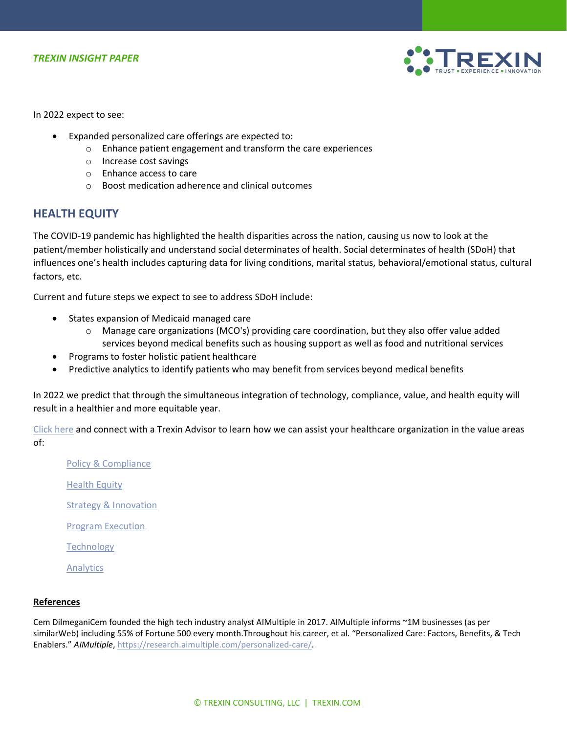

In 2022 expect to see:

- Expanded personalized care offerings are expected to:
	- o Enhance patient engagement and transform the care experiences
	- o Increase cost savings
	- o Enhance access to care
	- o Boost medication adherence and clinical outcomes

## **HEALTH EQUITY**

The COVID-19 pandemic has highlighted the health disparities across the nation, causing us now to look at the patient/member holistically and understand social determinates of health. Social determinates of health (SDoH) that influences one's health includes capturing data for living conditions, marital status, behavioral/emotional status, cultural factors, etc.

Current and future steps we expect to see to address SDoH include:

- States expansion of Medicaid managed care
	- o Manage care organizations (MCO's) providing care coordination, but they also offer value added services beyond medical benefits such as housing support as well as food and nutritional services
- Programs to foster holistic patient healthcare
- Predictive analytics to identify patients who may benefit from services beyond medical benefits

In 2022 we predict that through the simultaneous integration of technology, compliance, value, and health equity will result in a healthier and more equitable year.

[Click here](https://www.trexin.com/contact-us/) and connect with a Trexin Advisor to learn how we can assist your healthcare organization in the value areas of:

[Policy & Compliance](https://www.trexin.com/industry-expertise/healthcare-consulting/healthcare-policy-compliance/) [Health Equity](https://www.trexin.com/industry-expertise/healthcare-consulting/health-equity/) [Strategy & Innovation](https://www.trexin.com/capability-expertise/strategy-innovation/) [Program Execution](https://www.trexin.com/capability-expertise/program-execution/) **[Technology](https://www.trexin.com/capability-expertise/technology/)** [Analytics](https://www.trexin.com/capability-expertise/analytics/)

#### **References**

Cem DilmeganiCem founded the high tech industry analyst AIMultiple in 2017. AIMultiple informs ~1M businesses (as per similarWeb) including 55% of Fortune 500 every month.Throughout his career, et al. "Personalized Care: Factors, Benefits, & Tech Enablers." *AIMultiple*[, https://research.aimultiple.com/personalized-care/.](https://research.aimultiple.com/personalized-care/)